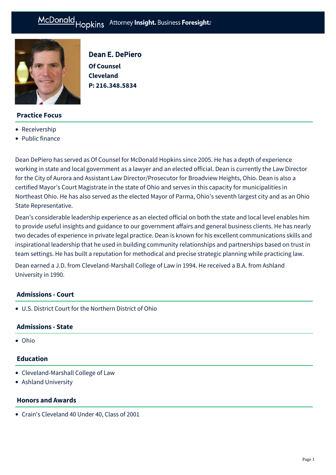

# **Practice Focus**

- [Receivership](https://mcdonaldhopkins.com/Expertise/Strategic-advisory-and-restructuring/Receivership)
- [Public finance](https://mcdonaldhopkins.com/Expertise/Finance/Public-finance)

Dean E. DePiero **Of Counsel Cleveland P: [216.348.5834](tel:216.348.5834)**

Dean DePiero has served as Of Counsel for McDonald Hopkins since 2005. He has a depth of experience working in state and local government as a lawyer and an elected official. Dean is currently the Law Director for the City of Aurora and Assistant Law Director/Prosecutor for Broadview Heights, Ohio. Dean is also a certified Mayor's Court Magistrate in the state of Ohio and serves in this capacity for municipalities in Northeast Ohio. He has also served as the elected Mayor of Parma, Ohio's seventh largest city and as an Ohio State Representative.

Dean's considerable leadership experience as an elected official on both the state and local level enables him to provide useful insights and guidance to our government affairs and general business clients. He has nearly two decades of experience in private legal practice. Dean is known for his excellent communications skills and inspirational leadership that he used in building community relationships and partnerships based on trust in team settings. He has built a reputation for methodical and precise strategic planning while practicing law.

Dean earned a J.D. from Cleveland-Marshall College of Law in 1994. He received a B.A. from Ashland University in 1990.

# **Admissions - Court**

U.S. District Court for the Northern District of Ohio

# **Admissions - State**

Ohio

### **Education**

- Cleveland-Marshall College of Law
- Ashland University

### **Honors and Awards**

[Crain's Cleveland 40 Under 40, Class of 2001](http://www.crainscleveland.com/article/20011101/FORTY/161119556/dean-depiero)